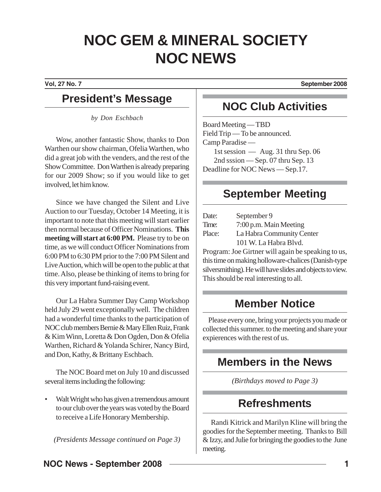# **NOC GEM & MINERAL SOCIETY NOC NEWS**

**Vol, 27 No. 7 September 2008**

### **President's Message**

*by Don Eschbach*

Wow, another fantastic Show, thanks to Don Warthen our show chairman, Ofelia Warthen, who did a great job with the venders, and the rest of the Show Committee. Don Warthen is already preparing for our 2009 Show; so if you would like to get involved, let him know.

Since we have changed the Silent and Live Auction to our Tuesday, October 14 Meeting, it is important to note that this meeting will start earlier then normal because of Officer Nominations. **This meeting will start at 6:00 PM.** Please try to be on time, as we will conduct Officer Nominations from 6:00 PM to 6:30 PM prior to the 7:00 PM Silent and Live Auction, which will be open to the public at that time. Also, please be thinking of items to bring for this very important fund-raising event.

Our La Habra Summer Day Camp Workshop held July 29 went exceptionally well. The children had a wonderful time thanks to the participation of NOC club members Bernie & Mary Ellen Ruiz, Frank & Kim Winn, Loretta & Don Ogden, Don & Ofelia Warthen, Richard & Yolanda Schirer, Nancy Bird, and Don, Kathy, & Brittany Eschbach.

The NOC Board met on July 10 and discussed several items including the following:

Walt Wright who has given a tremendous amount to our club over the years was voted by the Board to receive a Life Honorary Membership.

*(Presidents Message continued on Page 3)*

## **NOC Club Activities**

Board Meeting — TBD Field Trip — To be announced. Camp Paradise — 1st session — Aug. 31 thru Sep. 06 2nd sssion — Sep. 07 thru Sep. 13 Deadline for NOC News — Sep.17.

## **September Meeting**

| Date:  | September 9               |
|--------|---------------------------|
| Time:  | 7:00 p.m. Main Meeting    |
| Place: | La Habra Community Center |
|        | 101 W. La Habra Blvd.     |

Program: Joe Girtner will again be speaking to us, this time on making holloware-chalices (Danish-type silversmithing). He will have slides and objects to view. This should be real interesting to all.

## **Member Notice**

Please every one, bring your projects you made or collected this summer. to the meeting and share your expierences with the rest of us.

## **Members in the News**

*(Birthdays moved to Page 3)*

## **Refreshments**

Randi Kitrick and Marilyn Kline will bring the goodies for the September meeting. Thanks to Bill & Izzy, and Julie for bringing the goodies to the June meeting.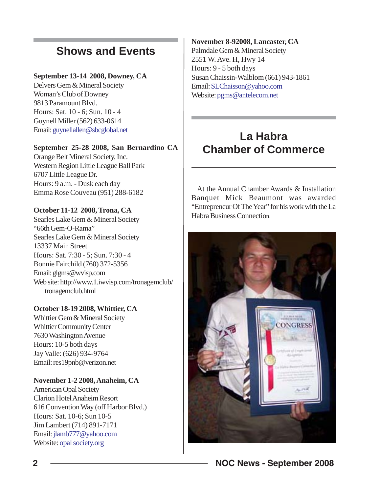## **Shows and Events**

#### **September 13-14 2008, Downey, CA**

Delvers Gem & Mineral Society Woman's Club of Downey 9813 Paramount Blvd. Hours: Sat. 10 - 6; Sun. 10 - 4 Guynell Miller (562) 633-0614 Email: guynellallen@sbcglobal.net

#### **September 25-28 2008, San Bernardino CA**

Orange Belt Mineral Society, Inc. Western Region Little League Ball Park 6707 Little League Dr. Hours: 9 a.m. - Dusk each day Emma Rose Couveau (951) 288-6182

### **October 11-12 2008, Trona, CA**

Searles Lake Gem & Mineral Society "66th Gem-O-Rama" Searles Lake Gem & Mineral Society 13337 Main Street Hours: Sat. 7:30 - 5; Sun. 7:30 - 4 Bonnie Fairchild (760) 372-5356 Email: glgms@wvisp.com Web site: http://www.1.iwvisp.com/tronagemclub/ tronagemclub.html

#### **October 18-19 2008, Whittier, CA**

Whittier Gem & Mineral Society Whittier Community Center 7630 Washington Avenue Hours: 10-5 both days Jay Valle: (626) 934-9764 Email: res19pnb@verizon.net

### **November 1-2 2008, Anaheim, CA**

American Opal Society Clarion Hotel Anaheim Resort 616 Convention Way (off Harbor Blvd.) Hours: Sat. 10-6; Sun 10-5 Jim Lambert (714) 891-7171 Email: jlamb777@yahoo.com Website: opal society.org

#### **November 8-92008, Lancaster, CA**

Palmdale Gem & Mineral Society 2551 W. Ave. H, Hwy 14 Hours: 9 - 5 both days Susan Chaissin-Walblom (661) 943-1861 Email: SLChaisson@yahoo.com Website: pgms@antelecom.net

## **La Habra Chamber of Commerce**

At the Annual Chamber Awards & Installation Banquet Mick Beaumont was awarded "Entrepreneur Of The Year" for his work with the La Habra Business Connection.

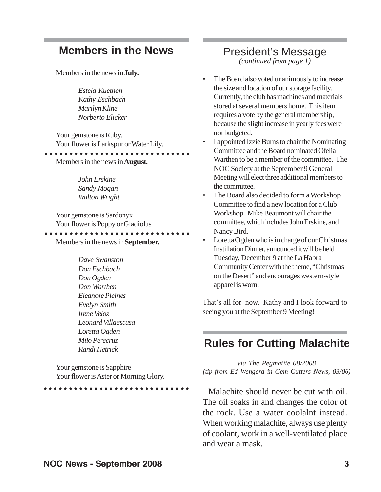### **Members in the News**

Members in the news in **July.**

*Estela Kuethen Kathy Eschbach Marilyn Kline Norberto Elicker*

Your gemstone is Ruby. Your flower is Larkspur or Water Lily.

Members in the news in **August.** ○○○○○○○○○○○○○○○○○○○○○○○○○○○○○

> *John Erskine Sandy Mogan Walton Wright*

Your gemstone is Sardonyx Your flower is Poppy or Gladiolus ○○○○○○○○○○○○○○○○○○○○○○○○○○○○○

Members in the news in **September.**

*Dave Swanston Don Eschbach Don Ogden Don Warthen Eleanore Pleines Evelyn Smith Irene Veloz Leonard Villaescusa Loretta Ogden Milo Perecruz Randi Hetrick*

Your gemstone is Sapphire Your flower is Aster or Morning Glory.

○○○○○○○○○○○○○○○○○○○○○○○○○○○○○

### President's Message

*(continued from page 1)*

- The Board also voted unanimously to increase the size and location of our storage facility. Currently, the club has machines and materials stored at several members home. This item requires a vote by the general membership, because the slight increase in yearly fees were not budgeted.
- I appointed Izzie Burns to chair the Nominating Committee and the Board nominated Ofelia Warthen to be a member of the committee. The NOC Society at the September 9 General Meeting will elect three additional members to the committee.
- The Board also decided to form a Workshop Committee to find a new location for a Club Workshop. Mike Beaumont will chair the committee, which includes John Erskine, and Nancy Bird.
- Loretta Ogden who is in charge of our Christmas Instillation Dinner, announced it will be held Tuesday, December 9 at the La Habra Community Center with the theme, "Christmas on the Desert" and encourages western-style apparel is worn.

That's all for now. Kathy and I look forward to seeing you at the September 9 Meeting!

### **Rules for Cutting Malachite**

*via The Pegmatite 08/2008 (tip from Ed Wengerd in Gem Cutters News, 03/06)*

Malachite should never be cut with oil. The oil soaks in and changes the color of the rock. Use a water coolalnt instead. When working malachite, always use plenty of coolant, work in a well-ventilated place and wear a mask.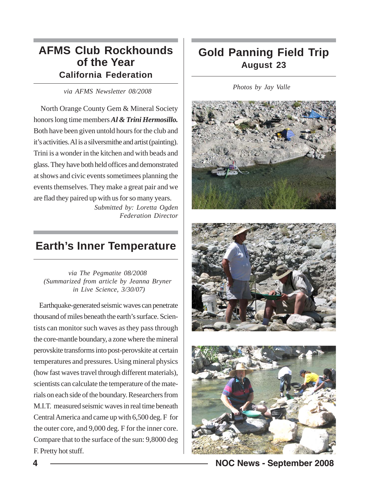### **AFMS Club Rockhounds of the Year California Federation**

*via AFMS Newsletter 08/2008*

North Orange County Gem & Mineral Society honors long time members *Al & Trini Hermosillo.* Both have been given untold hours for the club and it's activities. Al is a silversmithe and artist (painting). Trini is a wonder in the kitchen and with beads and glass. They have both held offices and demonstrated at shows and civic events sometimees planning the events themselves. They make a great pair and we are flad they paired up with us for so many years.

*Submitted by: Loretta Ogden Federation Director*

### **Earth's Inner Temperature**

*via The Pegmatite 08/2008 (Summarized from article by Jeanna Bryner in Live Science, 3/30/07)*

Earthquake-generated seismic waves can penetrate thousand of miles beneath the earth's surface. Scientists can monitor such waves as they pass through the core-mantle boundary, a zone where the mineral perovskite transforms into post-perovskite at certain temperatures and pressures. Using mineral physics (how fast waves travel through different materials), scientists can calculate the temperature of the materials on each side of the boundary. Researchers from M.I.T. measured seismic waves in real time beneath Central America and came up with 6,500 deg. F for the outer core, and 9,000 deg. F for the inner core. Compare that to the surface of the sun: 9,8000 deg F. Pretty hot stuff.

## **Gold Panning Field Trip August 23**

*Photos by Jay Valle*







**4 NOC News - September 2008**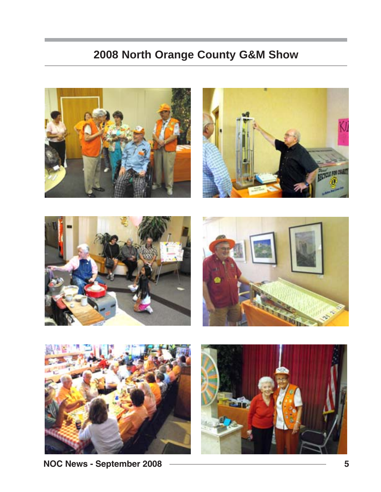## **2008 North Orange County G&M Show**











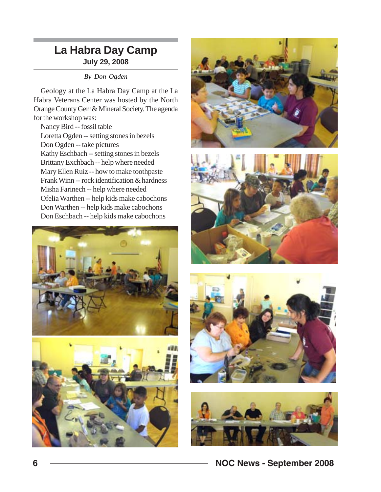### **La Habra Day Camp July 29, 2008**

*By Don Ogden*

Geology at the La Habra Day Camp at the La Habra Veterans Center was hosted by the North Orange County Gem& Mineral Society. The agenda for the workshop was:

Nancy Bird -- fossil table Loretta Ogden -- setting stones in bezels Don Ogden -- take pictures Kathy Eschbach -- setting stones in bezels Brittany Exchbach -- help where needed Mary Ellen Ruiz -- how to make toothpaste Frank Winn -- rock identification & hardness Misha Farinech -- help where needed Ofelia Warthen -- help kids make cabochons Don Warthen -- help kids make cabochons Don Eschbach -- help kids make cabochons











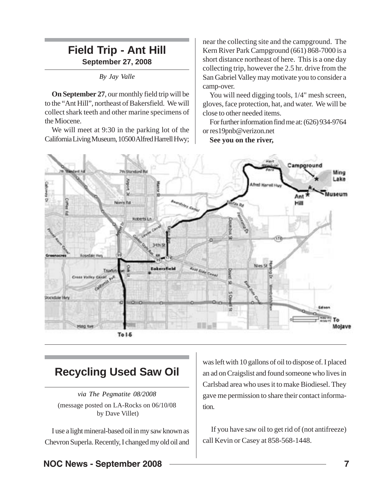### **Field Trip - Ant Hill September 27, 2008**

*By Jay Valle*

**On September 27**, our monthly field trip will be to the "Ant Hill", northeast of Bakersfield. We will collect shark teeth and other marine specimens of the Miocene.

We will meet at 9:30 in the parking lot of the California Living Museum, 10500 Alfred Harrell Hwy;

near the collecting site and the campground. The Kern River Park Campground (661) 868-7000 is a short distance northeast of here. This is a one day collecting trip, however the 2.5 hr. drive from the San Gabriel Valley may motivate you to consider a camp-over.

You will need digging tools,  $1/4$ " mesh screen, gloves, face protection, hat, and water. We will be close to other needed items.

For further information find me at: (626)934-9764 or res19pnb@verizon.net

**See you on the river,**



### **Recycling Used Saw Oil**

*via The Pegmatite 08/2008* (message posted on LA-Rocks on 06/10/08 by Dave Villet)

I use a light mineral-based oil in my saw known as Chevron Superla. Recently, I changed my old oil and

was left with 10 gallons of oil to dispose of. I placed an ad on Craigslist and found someone who lives in Carlsbad area who uses it to make Biodiesel. They gave me permission to share their contact information.

 If you have saw oil to get rid of (not antifreeze) call Kevin or Casey at 858-568-1448.

### **NOC News - September 2008**  2008 **7**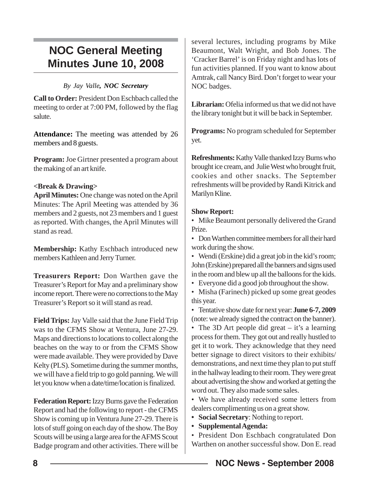## **NOC General Meeting Minutes June 10, 2008**

#### *By Jay Valle, NOC Secretary*

**Call to Order:** President Don Eschbach called the meeting to order at 7:00 PM, followed by the flag salute.

**Attendance:** The meeting was attended by 26 members and 8 guests.

**Program:** Joe Girtner presented a program about the making of an art knife.

#### **<Break & Drawing>**

**April Minutes:** One change was noted on the April Minutes: The April Meeting was attended by 36 members and 2 guests, not 23 members and 1 guest as reported. With changes, the April Minutes will stand as read.

**Membership:** Kathy Eschbach introduced new members Kathleen and Jerry Turner.

**Treasurers Report:** Don Warthen gave the Treasurer's Report for May and a preliminary show income report. There were no corrections to the May Treasurer's Report so it will stand as read.

**Field Trips:** Jay Valle said that the June Field Trip was to the CFMS Show at Ventura, June 27-29. Maps and directions to locations to collect along the beaches on the way to or from the CFMS Show were made available. They were provided by Dave Kelty (PLS). Sometime during the summer months, we will have a field trip to go gold panning. We will let you know when a date/time/location is finalized.

**Federation Report:** Izzy Burns gave the Federation Report and had the following to report - the CFMS Show is coming up in Ventura June 27-29. There is lots of stuff going on each day of the show. The Boy Scouts will be using a large area for the AFMS Scout Badge program and other activities. There will be

several lectures, including programs by Mike Beaumont, Walt Wright, and Bob Jones. The 'Cracker Barrel' is on Friday night and has lots of fun activities planned. If you want to know about Amtrak, call Nancy Bird. Don't forget to wear your NOC badges.

**Librarian:** Ofelia informed us that we did not have the library tonight but it will be back in September.

**Programs:** No program scheduled for September yet.

**Refreshments:** Kathy Valle thanked Izzy Burns who brought ice cream, and Julie West who brought fruit, cookies and other snacks. The September refreshments will be provided by Randi Kitrick and Marilyn Kline.

#### **Show Report:**

- Mike Beaumont personally delivered the Grand Prize.
- Don Warthen committee members for all their hard work during the show.
- Wendi (Erskine) did a great job in the kid's room; John (Erskine) prepared all the banners and signs used in the room and blew up all the balloons for the kids.
- Everyone did a good job throughout the show.
- Misha (Farinech) picked up some great geodes this year.

• Tentative show date for next year: **June 6-7, 2009** (note: we already signed the contract on the banner).

• The 3D Art people did great – it's a learning process for them. They got out and really hustled to get it to work. They acknowledge that they need better signage to direct visitors to their exhibits/ demonstrations, and next time they plan to put stuff in the hallway leading to their room. They were great about advertising the show and worked at getting the word out. They also made some sales.

• We have already received some letters from dealers complimenting us on a great show.

**• Social Secretary**: Nothing to report.

**• Supplemental Agenda:**

• President Don Eschbach congratulated Don Warthen on another successful show. Don E. read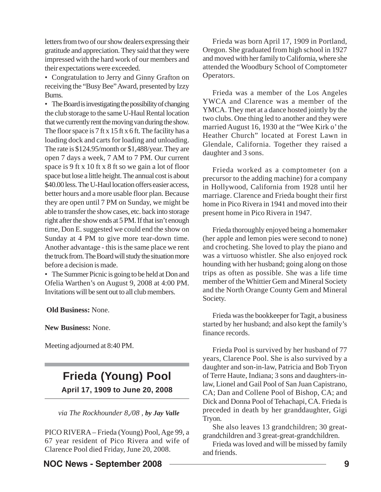letters from two of our show dealers expressing their gratitude and appreciation. They said that they were impressed with the hard work of our members and their expectations were exceeded.

• Congratulation to Jerry and Ginny Grafton on receiving the "Busy Bee" Award, presented by Izzy Burns.

• The Board is investigating the possibility of changing the club storage to the same U-Haul Rental location that we currently rent the moving van during the show. The floor space is 7 ft x 15 ft x 6 ft. The facility has a loading dock and carts for loading and unloading. The rate is \$124.95/month or \$1,488/year. They are open 7 days a week, 7 AM to 7 PM. Our current space is 9 ft x 10 ft x 8 ft so we gain a lot of floor space but lose a little height. The annual cost is about \$40.00 less. The U-Haul location offers easier access, better hours and a more usable floor plan. Because they are open until 7 PM on Sunday, we might be able to transfer the show cases, etc. back into storage right after the show ends at 5 PM. If that isn't enough time, Don E. suggested we could end the show on Sunday at 4 PM to give more tear-down time. Another advantage - this is the same place we rent the truck from. The Board will study the situation more before a decision is made.

• The Summer Picnic is going to be held at Don and Ofelia Warthen's on August 9, 2008 at 4:00 PM. Invitations will be sent out to all club members.

**Old Business:** None.

**New Business:** None.

Meeting adjourned at 8:40 PM.

### **Frieda (Young) Pool April 17, 1909 to June 20, 2008**

*via The Rockhounder 8,/08 , by Jay Valle*

PICO RIVERA – Frieda (Young) Pool, Age 99, a 67 year resident of Pico Rivera and wife of Clarence Pool died Friday, June 20, 2008.

### **NOC News - September 2008 – 2008 – 2008 1908**

Frieda was born April 17, 1909 in Portland, Oregon. She graduated from high school in 1927 and moved with her family to California, where she attended the Woodbury School of Comptometer Operators.

Frieda was a member of the Los Angeles YWCA and Clarence was a member of the YMCA. They met at a dance hosted jointly by the two clubs. One thing led to another and they were married August 16, 1930 at the "Wee Kirk o' the Heather Church" located at Forest Lawn in Glendale, California. Together they raised a daughter and 3 sons.

Frieda worked as a comptometer (on a precursor to the adding machine) for a company in Hollywood, California from 1928 until her marriage. Clarence and Frieda bought their first home in Pico Rivera in 1941 and moved into their present home in Pico Rivera in 1947.

Frieda thoroughly enjoyed being a homemaker (her apple and lemon pies were second to none) and crocheting. She loved to play the piano and was a virtuoso whistler. She also enjoyed rock hounding with her husband; going along on those trips as often as possible. She was a life time member of the Whittier Gem and Mineral Society and the North Orange County Gem and Mineral Society.

Frieda was the bookkeeper for Tagit, a business started by her husband; and also kept the family's finance records.

Frieda Pool is survived by her husband of 77 years, Clarence Pool. She is also survived by a daughter and son-in-law, Patricia and Bob Tryon of Terre Haute, Indiana; 3 sons and daughters-inlaw, Lionel and Gail Pool of San Juan Capistrano, CA; Dan and Collene Pool of Bishop, CA; and Dick and Donna Pool of Tehachapi, CA. Frieda is preceded in death by her granddaughter, Gigi Tryon.

She also leaves 13 grandchildren; 30 greatgrandchildren and 3 great-great-grandchildren.

Frieda was loved and will be missed by family and friends.